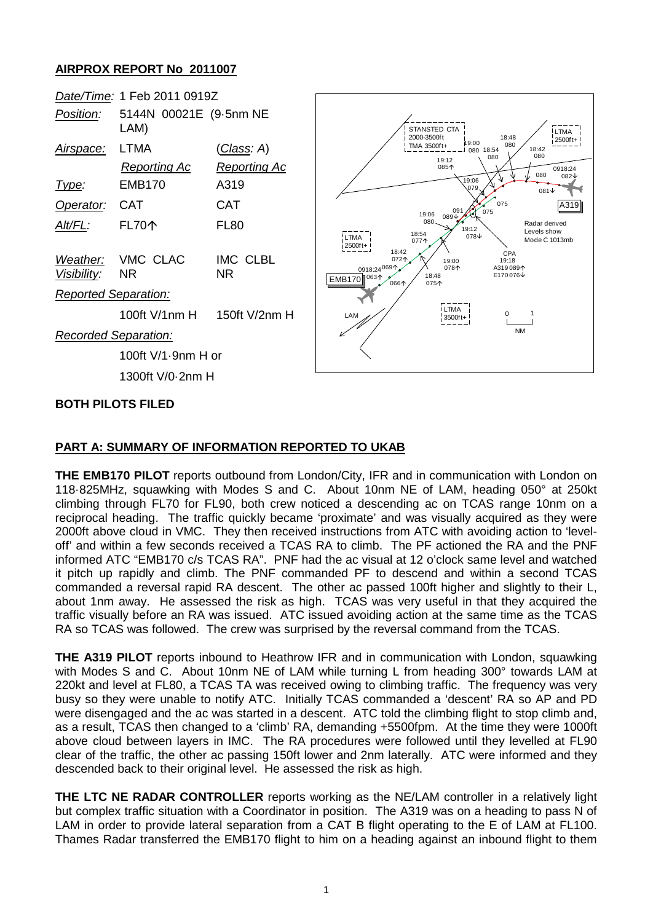## **AIRPROX REPORT No 2011007**



## **PART A: SUMMARY OF INFORMATION REPORTED TO UKAB**

**THE EMB170 PILOT** reports outbound from London/City, IFR and in communication with London on 118·825MHz, squawking with Modes S and C. About 10nm NE of LAM, heading 050° at 250kt climbing through FL70 for FL90, both crew noticed a descending ac on TCAS range 10nm on a reciprocal heading. The traffic quickly became 'proximate' and was visually acquired as they were 2000ft above cloud in VMC. They then received instructions from ATC with avoiding action to 'leveloff' and within a few seconds received a TCAS RA to climb. The PF actioned the RA and the PNF informed ATC "EMB170 c/s TCAS RA". PNF had the ac visual at 12 o'clock same level and watched it pitch up rapidly and climb. The PNF commanded PF to descend and within a second TCAS commanded a reversal rapid RA descent. The other ac passed 100ft higher and slightly to their L, about 1nm away. He assessed the risk as high. TCAS was very useful in that they acquired the traffic visually before an RA was issued. ATC issued avoiding action at the same time as the TCAS RA so TCAS was followed. The crew was surprised by the reversal command from the TCAS.

**THE A319 PILOT** reports inbound to Heathrow IFR and in communication with London, squawking with Modes S and C. About 10nm NE of LAM while turning L from heading 300° towards LAM at 220kt and level at FL80, a TCAS TA was received owing to climbing traffic. The frequency was very busy so they were unable to notify ATC. Initially TCAS commanded a 'descent' RA so AP and PD were disengaged and the ac was started in a descent. ATC told the climbing flight to stop climb and, as a result, TCAS then changed to a 'climb' RA, demanding +5500fpm. At the time they were 1000ft above cloud between layers in IMC. The RA procedures were followed until they levelled at FL90 clear of the traffic, the other ac passing 150ft lower and 2nm laterally. ATC were informed and they descended back to their original level. He assessed the risk as high.

**THE LTC NE RADAR CONTROLLER** reports working as the NE/LAM controller in a relatively light but complex traffic situation with a Coordinator in position. The A319 was on a heading to pass N of LAM in order to provide lateral separation from a CAT B flight operating to the E of LAM at FL100. Thames Radar transferred the EMB170 flight to him on a heading against an inbound flight to them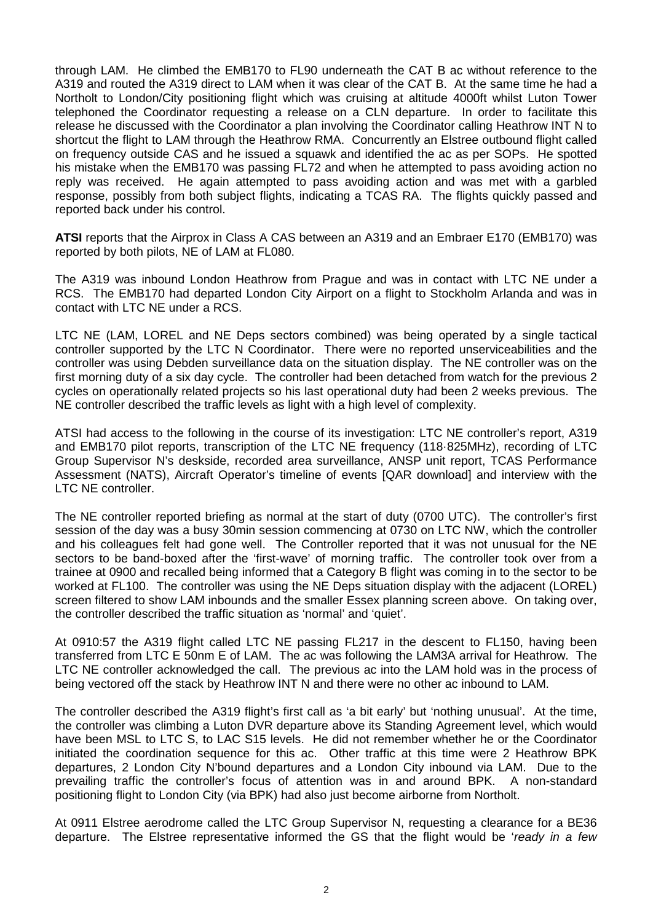through LAM. He climbed the EMB170 to FL90 underneath the CAT B ac without reference to the A319 and routed the A319 direct to LAM when it was clear of the CAT B. At the same time he had a Northolt to London/City positioning flight which was cruising at altitude 4000ft whilst Luton Tower telephoned the Coordinator requesting a release on a CLN departure. In order to facilitate this release he discussed with the Coordinator a plan involving the Coordinator calling Heathrow INT N to shortcut the flight to LAM through the Heathrow RMA. Concurrently an Elstree outbound flight called on frequency outside CAS and he issued a squawk and identified the ac as per SOPs. He spotted his mistake when the EMB170 was passing FL72 and when he attempted to pass avoiding action no reply was received. He again attempted to pass avoiding action and was met with a garbled response, possibly from both subject flights, indicating a TCAS RA. The flights quickly passed and reported back under his control.

**ATSI** reports that the Airprox in Class A CAS between an A319 and an Embraer E170 (EMB170) was reported by both pilots, NE of LAM at FL080.

The A319 was inbound London Heathrow from Prague and was in contact with LTC NE under a RCS. The EMB170 had departed London City Airport on a flight to Stockholm Arlanda and was in contact with LTC NE under a RCS.

LTC NE (LAM, LOREL and NE Deps sectors combined) was being operated by a single tactical controller supported by the LTC N Coordinator. There were no reported unserviceabilities and the controller was using Debden surveillance data on the situation display. The NE controller was on the first morning duty of a six day cycle. The controller had been detached from watch for the previous 2 cycles on operationally related projects so his last operational duty had been 2 weeks previous. The NE controller described the traffic levels as light with a high level of complexity.

ATSI had access to the following in the course of its investigation: LTC NE controller's report, A319 and EMB170 pilot reports, transcription of the LTC NE frequency (118·825MHz), recording of LTC Group Supervisor N's deskside, recorded area surveillance, ANSP unit report, TCAS Performance Assessment (NATS), Aircraft Operator's timeline of events [QAR download] and interview with the LTC NE controller.

The NE controller reported briefing as normal at the start of duty (0700 UTC). The controller's first session of the day was a busy 30min session commencing at 0730 on LTC NW, which the controller and his colleagues felt had gone well. The Controller reported that it was not unusual for the NE sectors to be band-boxed after the 'first-wave' of morning traffic. The controller took over from a trainee at 0900 and recalled being informed that a Category B flight was coming in to the sector to be worked at FL100. The controller was using the NE Deps situation display with the adjacent (LOREL) screen filtered to show LAM inbounds and the smaller Essex planning screen above. On taking over, the controller described the traffic situation as 'normal' and 'quiet'.

At 0910:57 the A319 flight called LTC NE passing FL217 in the descent to FL150, having been transferred from LTC E 50nm E of LAM. The ac was following the LAM3A arrival for Heathrow. The LTC NE controller acknowledged the call. The previous ac into the LAM hold was in the process of being vectored off the stack by Heathrow INT N and there were no other ac inbound to LAM.

The controller described the A319 flight's first call as 'a bit early' but 'nothing unusual'. At the time, the controller was climbing a Luton DVR departure above its Standing Agreement level, which would have been MSL to LTC S, to LAC S15 levels. He did not remember whether he or the Coordinator initiated the coordination sequence for this ac. Other traffic at this time were 2 Heathrow BPK departures, 2 London City N'bound departures and a London City inbound via LAM. Due to the prevailing traffic the controller's focus of attention was in and around BPK. A non-standard positioning flight to London City (via BPK) had also just become airborne from Northolt.

At 0911 Elstree aerodrome called the LTC Group Supervisor N, requesting a clearance for a BE36 departure. The Elstree representative informed the GS that the flight would be '*ready in a few*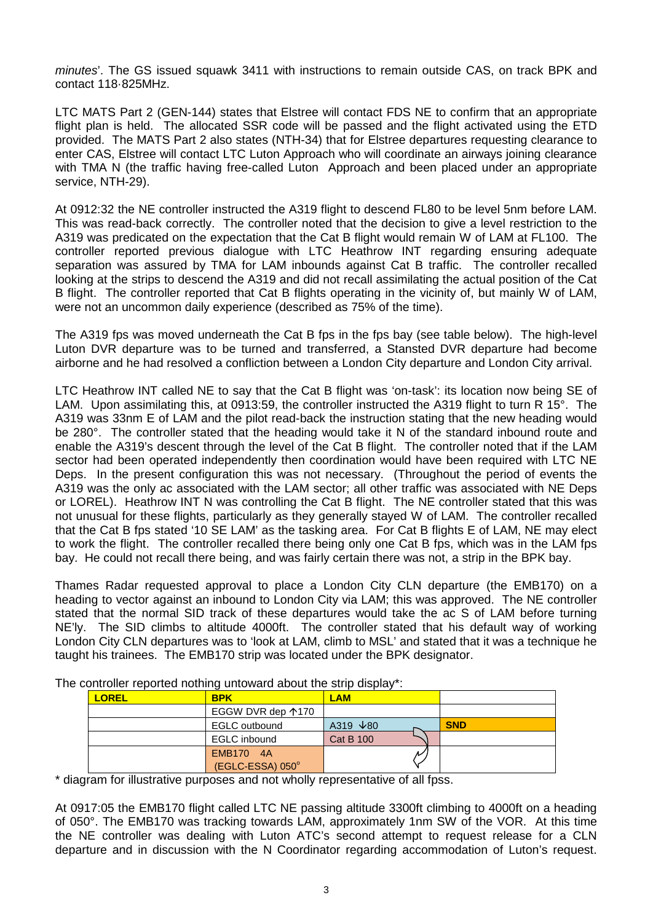*minutes*'. The GS issued squawk 3411 with instructions to remain outside CAS, on track BPK and contact 118·825MHz.

LTC MATS Part 2 (GEN-144) states that Elstree will contact FDS NE to confirm that an appropriate flight plan is held. The allocated SSR code will be passed and the flight activated using the ETD provided. The MATS Part 2 also states (NTH-34) that for Elstree departures requesting clearance to enter CAS, Elstree will contact LTC Luton Approach who will coordinate an airways joining clearance with TMA N (the traffic having free-called Luton Approach and been placed under an appropriate service, NTH-29).

At 0912:32 the NE controller instructed the A319 flight to descend FL80 to be level 5nm before LAM. This was read-back correctly. The controller noted that the decision to give a level restriction to the A319 was predicated on the expectation that the Cat B flight would remain W of LAM at FL100. The controller reported previous dialogue with LTC Heathrow INT regarding ensuring adequate separation was assured by TMA for LAM inbounds against Cat B traffic. The controller recalled looking at the strips to descend the A319 and did not recall assimilating the actual position of the Cat B flight. The controller reported that Cat B flights operating in the vicinity of, but mainly W of LAM, were not an uncommon daily experience (described as 75% of the time).

The A319 fps was moved underneath the Cat B fps in the fps bay (see table below). The high-level Luton DVR departure was to be turned and transferred, a Stansted DVR departure had become airborne and he had resolved a confliction between a London City departure and London City arrival.

LTC Heathrow INT called NE to say that the Cat B flight was 'on-task': its location now being SE of LAM. Upon assimilating this, at 0913:59, the controller instructed the A319 flight to turn R 15°. The A319 was 33nm E of LAM and the pilot read-back the instruction stating that the new heading would be 280°. The controller stated that the heading would take it N of the standard inbound route and enable the A319's descent through the level of the Cat B flight. The controller noted that if the LAM sector had been operated independently then coordination would have been required with LTC NE Deps. In the present configuration this was not necessary. (Throughout the period of events the A319 was the only ac associated with the LAM sector; all other traffic was associated with NE Deps or LOREL). Heathrow INT N was controlling the Cat B flight. The NE controller stated that this was not unusual for these flights, particularly as they generally stayed W of LAM. The controller recalled that the Cat B fps stated '10 SE LAM' as the tasking area. For Cat B flights E of LAM, NE may elect to work the flight. The controller recalled there being only one Cat B fps, which was in the LAM fps bay. He could not recall there being, and was fairly certain there was not, a strip in the BPK bay.

Thames Radar requested approval to place a London City CLN departure (the EMB170) on a heading to vector against an inbound to London City via LAM; this was approved. The NE controller stated that the normal SID track of these departures would take the ac S of LAM before turning NE'ly. The SID climbs to altitude 4000ft. The controller stated that his default way of working London City CLN departures was to 'look at LAM, climb to MSL' and stated that it was a technique he taught his trainees. The EMB170 strip was located under the BPK designator.

| controller reported hotming untervally about the strip display. |              |                               |                  |            |
|-----------------------------------------------------------------|--------------|-------------------------------|------------------|------------|
|                                                                 | <b>LOREL</b> | <b>BPK</b>                    | <b>LAM</b>       |            |
|                                                                 |              | EGGW DVR dep 170              |                  |            |
|                                                                 |              | <b>EGLC</b> outbound          | A319 $\sqrt{80}$ | <b>SND</b> |
|                                                                 |              | EGLC inbound                  | <b>Cat B 100</b> |            |
|                                                                 |              | EMB170 4A<br>(EGLC-ESSA) 050° |                  |            |

The controller reported nothing untoward about the strip display\*

\* diagram for illustrative purposes and not wholly representative of all fpss.

At 0917:05 the EMB170 flight called LTC NE passing altitude 3300ft climbing to 4000ft on a heading of 050°. The EMB170 was tracking towards LAM, approximately 1nm SW of the VOR. At this time the NE controller was dealing with Luton ATC's second attempt to request release for a CLN departure and in discussion with the N Coordinator regarding accommodation of Luton's request.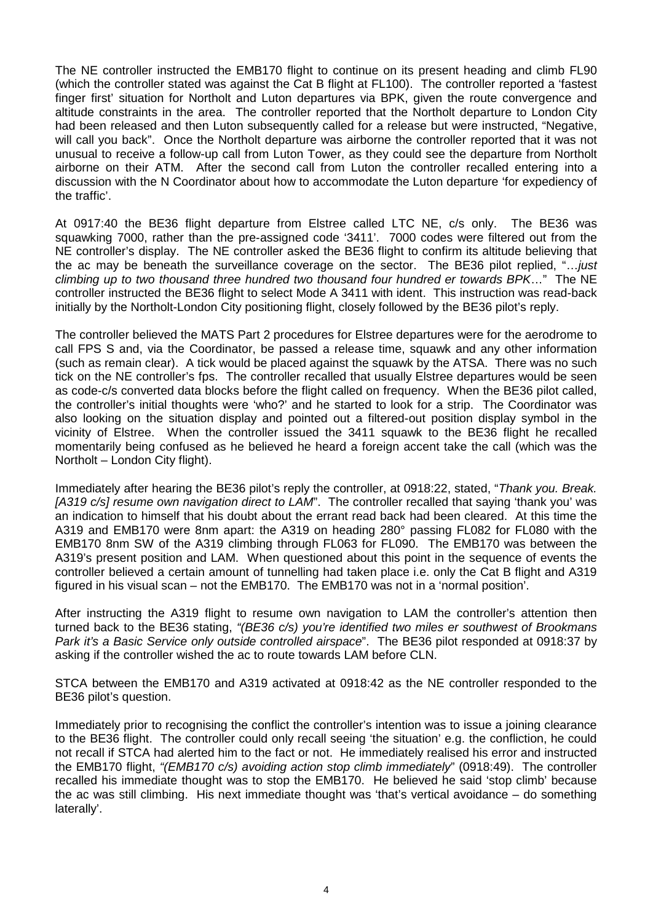The NE controller instructed the EMB170 flight to continue on its present heading and climb FL90 (which the controller stated was against the Cat B flight at FL100). The controller reported a 'fastest finger first' situation for Northolt and Luton departures via BPK, given the route convergence and altitude constraints in the area. The controller reported that the Northolt departure to London City had been released and then Luton subsequently called for a release but were instructed, "Negative, will call you back". Once the Northolt departure was airborne the controller reported that it was not unusual to receive a follow-up call from Luton Tower, as they could see the departure from Northolt airborne on their ATM. After the second call from Luton the controller recalled entering into a discussion with the N Coordinator about how to accommodate the Luton departure 'for expediency of the traffic'.

At 0917:40 the BE36 flight departure from Elstree called LTC NE, c/s only. The BE36 was squawking 7000, rather than the pre-assigned code '3411'. 7000 codes were filtered out from the NE controller's display. The NE controller asked the BE36 flight to confirm its altitude believing that the ac may be beneath the surveillance coverage on the sector. The BE36 pilot replied, "…*just climbing up to two thousand three hundred two thousand four hundred er towards BPK*…" The NE controller instructed the BE36 flight to select Mode A 3411 with ident. This instruction was read-back initially by the Northolt-London City positioning flight, closely followed by the BE36 pilot's reply.

The controller believed the MATS Part 2 procedures for Elstree departures were for the aerodrome to call FPS S and, via the Coordinator, be passed a release time, squawk and any other information (such as remain clear). A tick would be placed against the squawk by the ATSA. There was no such tick on the NE controller's fps. The controller recalled that usually Elstree departures would be seen as code-c/s converted data blocks before the flight called on frequency. When the BE36 pilot called, the controller's initial thoughts were 'who?' and he started to look for a strip. The Coordinator was also looking on the situation display and pointed out a filtered-out position display symbol in the vicinity of Elstree. When the controller issued the 3411 squawk to the BE36 flight he recalled momentarily being confused as he believed he heard a foreign accent take the call (which was the Northolt – London City flight).

Immediately after hearing the BE36 pilot's reply the controller, at 0918:22, stated, "*Thank you. Break. [A319 c/s] resume own navigation direct to LAM*". The controller recalled that saying 'thank you' was an indication to himself that his doubt about the errant read back had been cleared. At this time the A319 and EMB170 were 8nm apart: the A319 on heading 280° passing FL082 for FL080 with the EMB170 8nm SW of the A319 climbing through FL063 for FL090. The EMB170 was between the A319's present position and LAM. When questioned about this point in the sequence of events the controller believed a certain amount of tunnelling had taken place i.e. only the Cat B flight and A319 figured in his visual scan – not the EMB170. The EMB170 was not in a 'normal position'.

After instructing the A319 flight to resume own navigation to LAM the controller's attention then turned back to the BE36 stating, *"(BE36 c/s) you're identified two miles er southwest of Brookmans Park it's a Basic Service only outside controlled airspace*". The BE36 pilot responded at 0918:37 by asking if the controller wished the ac to route towards LAM before CLN.

STCA between the EMB170 and A319 activated at 0918:42 as the NE controller responded to the BE36 pilot's question.

Immediately prior to recognising the conflict the controller's intention was to issue a joining clearance to the BE36 flight. The controller could only recall seeing 'the situation' e.g. the confliction, he could not recall if STCA had alerted him to the fact or not. He immediately realised his error and instructed the EMB170 flight, *"(EMB170 c/s) avoiding action stop climb immediately*" (0918:49). The controller recalled his immediate thought was to stop the EMB170. He believed he said 'stop climb' because the ac was still climbing. His next immediate thought was 'that's vertical avoidance – do something laterally'.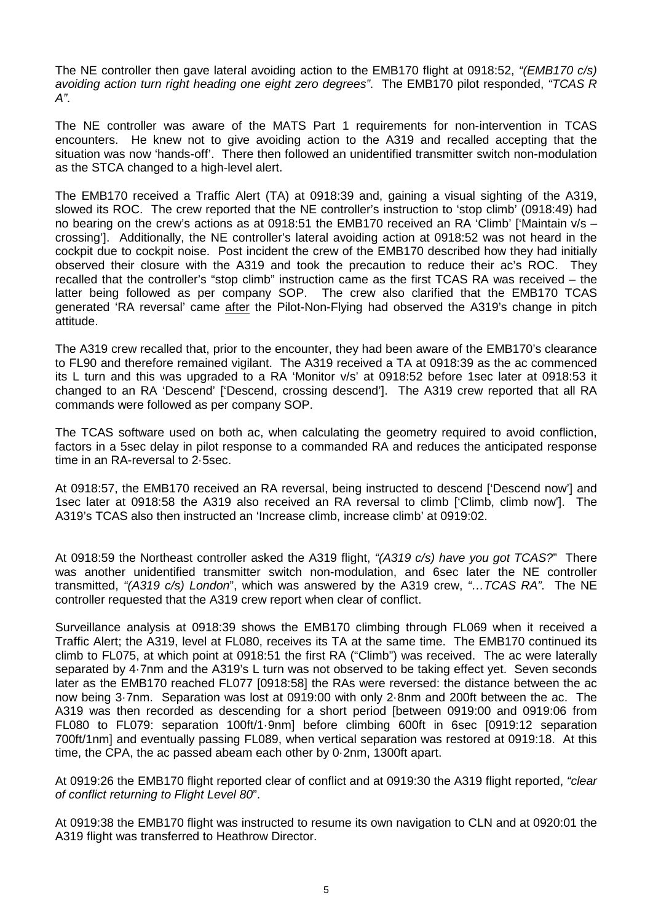The NE controller then gave lateral avoiding action to the EMB170 flight at 0918:52, *"(EMB170 c/s) avoiding action turn right heading one eight zero degrees"*. The EMB170 pilot responded, *"TCAS R A"*.

The NE controller was aware of the MATS Part 1 requirements for non-intervention in TCAS encounters. He knew not to give avoiding action to the A319 and recalled accepting that the situation was now 'hands-off'. There then followed an unidentified transmitter switch non-modulation as the STCA changed to a high-level alert.

The EMB170 received a Traffic Alert (TA) at 0918:39 and, gaining a visual sighting of the A319, slowed its ROC. The crew reported that the NE controller's instruction to 'stop climb' (0918:49) had no bearing on the crew's actions as at 0918:51 the EMB170 received an RA 'Climb' ['Maintain v/s – crossing']. Additionally, the NE controller's lateral avoiding action at 0918:52 was not heard in the cockpit due to cockpit noise. Post incident the crew of the EMB170 described how they had initially observed their closure with the A319 and took the precaution to reduce their ac's ROC. They recalled that the controller's "stop climb" instruction came as the first TCAS RA was received – the latter being followed as per company SOP. The crew also clarified that the EMB170 TCAS generated 'RA reversal' came after the Pilot-Non-Flying had observed the A319's change in pitch attitude.

The A319 crew recalled that, prior to the encounter, they had been aware of the EMB170's clearance to FL90 and therefore remained vigilant. The A319 received a TA at 0918:39 as the ac commenced its L turn and this was upgraded to a RA 'Monitor v/s' at 0918:52 before 1sec later at 0918:53 it changed to an RA 'Descend' ['Descend, crossing descend']. The A319 crew reported that all RA commands were followed as per company SOP.

The TCAS software used on both ac, when calculating the geometry required to avoid confliction, factors in a 5sec delay in pilot response to a commanded RA and reduces the anticipated response time in an RA-reversal to 2·5sec.

At 0918:57, the EMB170 received an RA reversal, being instructed to descend ['Descend now'] and 1sec later at 0918:58 the A319 also received an RA reversal to climb ['Climb, climb now']. The A319's TCAS also then instructed an 'Increase climb, increase climb' at 0919:02.

At 0918:59 the Northeast controller asked the A319 flight, *"(A319 c/s) have you got TCAS?*" There was another unidentified transmitter switch non-modulation, and 6sec later the NE controller transmitted, *"(A319 c/s) London*", which was answered by the A319 crew, *"…TCAS RA"*. The NE controller requested that the A319 crew report when clear of conflict.

Surveillance analysis at 0918:39 shows the EMB170 climbing through FL069 when it received a Traffic Alert; the A319, level at FL080, receives its TA at the same time. The EMB170 continued its climb to FL075, at which point at 0918:51 the first RA ("Climb") was received. The ac were laterally separated by 4·7nm and the A319's L turn was not observed to be taking effect yet. Seven seconds later as the EMB170 reached FL077 [0918:58] the RAs were reversed: the distance between the ac now being 3·7nm. Separation was lost at 0919:00 with only 2·8nm and 200ft between the ac. The A319 was then recorded as descending for a short period [between 0919:00 and 0919:06 from FL080 to FL079: separation 100ft/1·9nm] before climbing 600ft in 6sec [0919:12 separation 700ft/1nm] and eventually passing FL089, when vertical separation was restored at 0919:18. At this time, the CPA, the ac passed abeam each other by 0·2nm, 1300ft apart.

At 0919:26 the EMB170 flight reported clear of conflict and at 0919:30 the A319 flight reported, *"clear of conflict returning to Flight Level 80*".

At 0919:38 the EMB170 flight was instructed to resume its own navigation to CLN and at 0920:01 the A319 flight was transferred to Heathrow Director.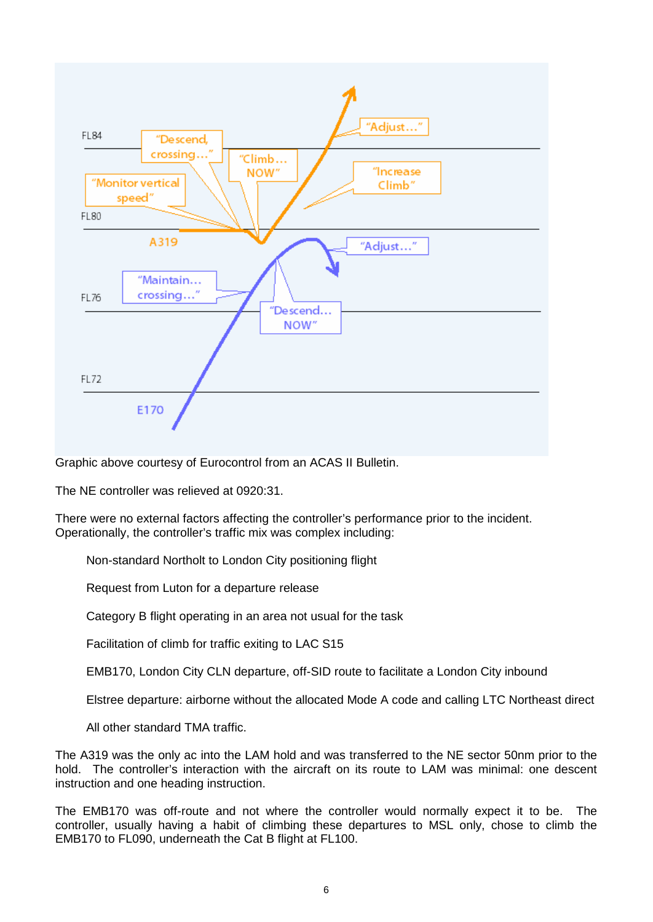

Graphic above courtesy of Eurocontrol from an ACAS II Bulletin.

The NE controller was relieved at 0920:31.

There were no external factors affecting the controller's performance prior to the incident. Operationally, the controller's traffic mix was complex including:

Non-standard Northolt to London City positioning flight

Request from Luton for a departure release

Category B flight operating in an area not usual for the task

Facilitation of climb for traffic exiting to LAC S15

EMB170, London City CLN departure, off-SID route to facilitate a London City inbound

Elstree departure: airborne without the allocated Mode A code and calling LTC Northeast direct

All other standard TMA traffic.

The A319 was the only ac into the LAM hold and was transferred to the NE sector 50nm prior to the hold. The controller's interaction with the aircraft on its route to LAM was minimal: one descent instruction and one heading instruction.

The EMB170 was off-route and not where the controller would normally expect it to be. The controller, usually having a habit of climbing these departures to MSL only, chose to climb the EMB170 to FL090, underneath the Cat B flight at FL100.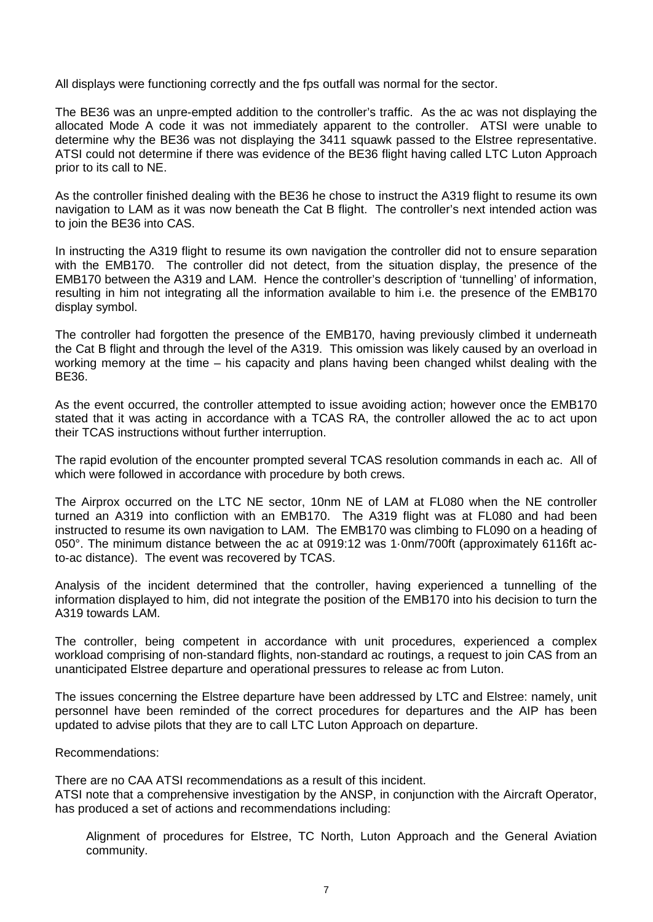All displays were functioning correctly and the fps outfall was normal for the sector.

The BE36 was an unpre-empted addition to the controller's traffic. As the ac was not displaying the allocated Mode A code it was not immediately apparent to the controller. ATSI were unable to determine why the BE36 was not displaying the 3411 squawk passed to the Elstree representative. ATSI could not determine if there was evidence of the BE36 flight having called LTC Luton Approach prior to its call to NE.

As the controller finished dealing with the BE36 he chose to instruct the A319 flight to resume its own navigation to LAM as it was now beneath the Cat B flight. The controller's next intended action was to join the BE36 into CAS.

In instructing the A319 flight to resume its own navigation the controller did not to ensure separation with the EMB170. The controller did not detect, from the situation display, the presence of the EMB170 between the A319 and LAM. Hence the controller's description of 'tunnelling' of information, resulting in him not integrating all the information available to him i.e. the presence of the EMB170 display symbol.

The controller had forgotten the presence of the EMB170, having previously climbed it underneath the Cat B flight and through the level of the A319. This omission was likely caused by an overload in working memory at the time – his capacity and plans having been changed whilst dealing with the BE36.

As the event occurred, the controller attempted to issue avoiding action; however once the EMB170 stated that it was acting in accordance with a TCAS RA, the controller allowed the ac to act upon their TCAS instructions without further interruption.

The rapid evolution of the encounter prompted several TCAS resolution commands in each ac. All of which were followed in accordance with procedure by both crews.

The Airprox occurred on the LTC NE sector, 10nm NE of LAM at FL080 when the NE controller turned an A319 into confliction with an EMB170. The A319 flight was at FL080 and had been instructed to resume its own navigation to LAM. The EMB170 was climbing to FL090 on a heading of 050°. The minimum distance between the ac at 0919:12 was 1·0nm/700ft (approximately 6116ft acto-ac distance). The event was recovered by TCAS.

Analysis of the incident determined that the controller, having experienced a tunnelling of the information displayed to him, did not integrate the position of the EMB170 into his decision to turn the A319 towards LAM.

The controller, being competent in accordance with unit procedures, experienced a complex workload comprising of non-standard flights, non-standard ac routings, a request to join CAS from an unanticipated Elstree departure and operational pressures to release ac from Luton.

The issues concerning the Elstree departure have been addressed by LTC and Elstree: namely, unit personnel have been reminded of the correct procedures for departures and the AIP has been updated to advise pilots that they are to call LTC Luton Approach on departure.

Recommendations:

There are no CAA ATSI recommendations as a result of this incident. ATSI note that a comprehensive investigation by the ANSP, in conjunction with the Aircraft Operator, has produced a set of actions and recommendations including:

Alignment of procedures for Elstree, TC North, Luton Approach and the General Aviation community.